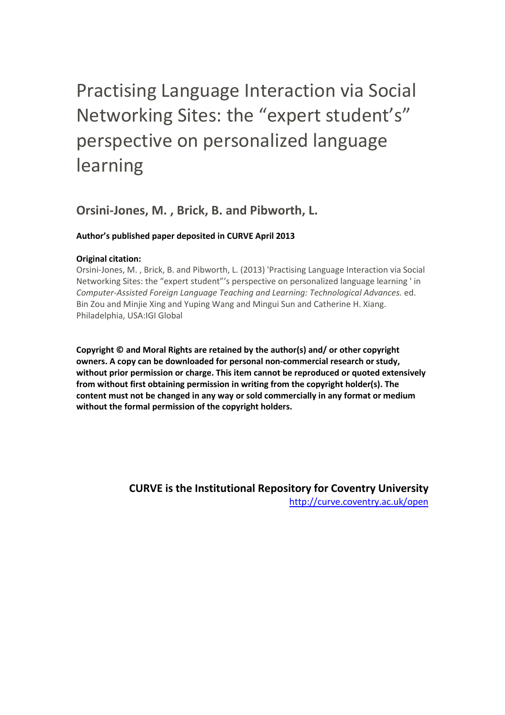# Practising Language Interaction via Social Networking Sites: the "expert student's" perspective on personalized language learning

# **Orsini-Jones, M. , Brick, B. and Pibworth, L.**

### **Author's published paper deposited in CURVE April 2013**

### **Original citation:**

Orsini-Jones, M. , Brick, B. and Pibworth, L. (2013) 'Practising Language Interaction via Social Networking Sites: the "expert student"'s perspective on personalized language learning ' in *Computer-Assisted Foreign Language Teaching and Learning: Technological Advances.* ed. Bin Zou and Minjie Xing and Yuping Wang and Mingui Sun and Catherine H. Xiang. Philadelphia, USA:IGI Global

**Copyright © and Moral Rights are retained by the author(s) and/ or other copyright owners. A copy can be downloaded for personal non-commercial research or study, without prior permission or charge. This item cannot be reproduced or quoted extensively from without first obtaining permission in writing from the copyright holder(s). The content must not be changed in any way or sold commercially in any format or medium without the formal permission of the copyright holders.** 

> **CURVE is the Institutional Repository for Coventry University** <http://curve.coventry.ac.uk/open>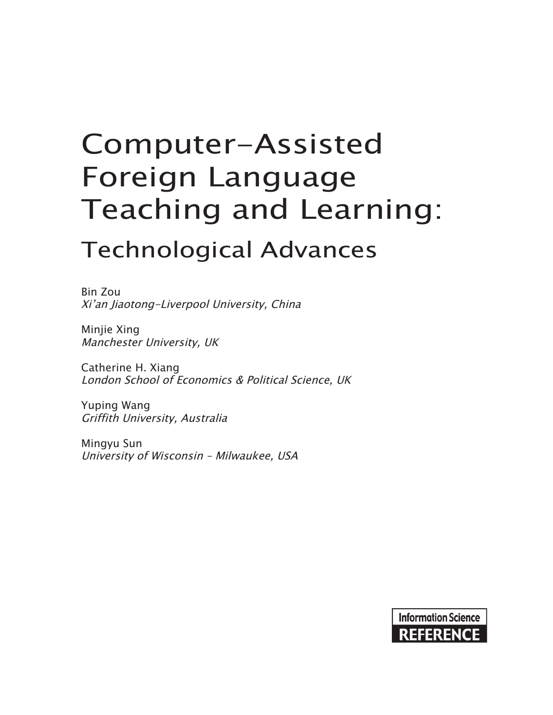# Computer-Assisted Foreign Language Teaching and Learning:

# Technological Advances

Bin Zou Xi'an Jiaotong-Liverpool University, China

Minjie Xing Manchester University, UK

Catherine H. Xiang London School of Economics & Political Science, UK

Yuping Wang Griffith University, Australia

Mingyu Sun University of Wisconsin – Milwaukee, USA

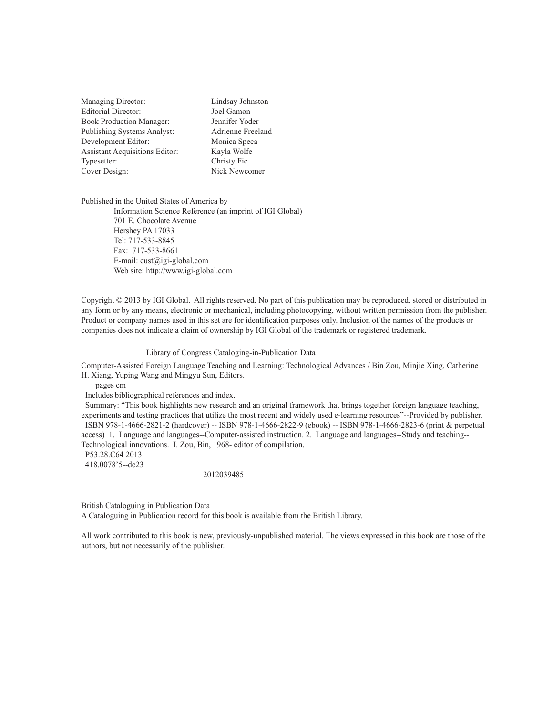| Managing Director:                    | Lindsay Johnston  |  |  |
|---------------------------------------|-------------------|--|--|
| <b>Editorial Director:</b>            | Joel Gamon        |  |  |
| <b>Book Production Manager:</b>       | Jennifer Yoder    |  |  |
| <b>Publishing Systems Analyst:</b>    | Adrienne Freeland |  |  |
| Development Editor:                   | Monica Speca      |  |  |
| <b>Assistant Acquisitions Editor:</b> | Kayla Wolfe       |  |  |
| Typesetter:                           | Christy Fic       |  |  |
| Cover Design:                         | Nick Newcomer     |  |  |
|                                       |                   |  |  |

Published in the United States of America by Information Science Reference (an imprint of IGI Global) 701 E. Chocolate Avenue Hershey PA 17033 Tel: 717-533-8845 Fax: 717-533-8661 E-mail: cust@igi-global.com Web site: http://www.igi-global.com

Copyright © 2013 by IGI Global. All rights reserved. No part of this publication may be reproduced, stored or distributed in any form or by any means, electronic or mechanical, including photocopying, without written permission from the publisher. Product or company names used in this set are for identification purposes only. Inclusion of the names of the products or companies does not indicate a claim of ownership by IGI Global of the trademark or registered trademark.

#### Library of Congress Cataloging-in-Publication Data

Computer-Assisted Foreign Language Teaching and Learning: Technological Advances / Bin Zou, Minjie Xing, Catherine H. Xiang, Yuping Wang and Mingyu Sun, Editors.

pages cm

Includes bibliographical references and index.

 Summary: "This book highlights new research and an original framework that brings together foreign language teaching, experiments and testing practices that utilize the most recent and widely used e-learning resources"--Provided by publisher. ISBN 978-1-4666-2821-2 (hardcover) -- ISBN 978-1-4666-2822-9 (ebook) -- ISBN 978-1-4666-2823-6 (print & perpetual access) 1. Language and languages--Computer-assisted instruction. 2. Language and languages--Study and teaching-- Technological innovations. I. Zou, Bin, 1968- editor of compilation.

 P53.28.C64 2013 418.0078'5--dc23

2012039485

British Cataloguing in Publication Data

A Cataloguing in Publication record for this book is available from the British Library.

All work contributed to this book is new, previously-unpublished material. The views expressed in this book are those of the authors, but not necessarily of the publisher.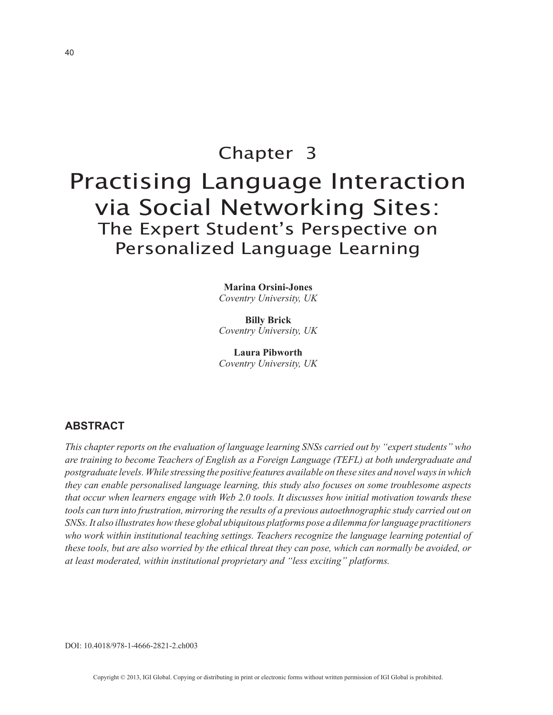# Chapter 3 Practising Language Interaction via Social Networking Sites: The Expert Student's Perspective on Personalized Language Learning

**Marina Orsini-Jones** *Coventry University, UK*

**Billy Brick** *Coventry University, UK*

**Laura Pibworth** *Coventry University, UK*

#### **ABSTRACT**

*This chapter reports on the evaluation of language learning SNSs carried out by "expert students" who are training to become Teachers of English as a Foreign Language (TEFL) at both undergraduate and postgraduate levels. While stressing the positive features available on these sites and novel ways in which they can enable personalised language learning, this study also focuses on some troublesome aspects that occur when learners engage with Web 2.0 tools. It discusses how initial motivation towards these tools can turn into frustration, mirroring the results of a previous autoethnographic study carried out on SNSs. It also illustrates how these global ubiquitous platforms pose a dilemma for language practitioners who work within institutional teaching settings. Teachers recognize the language learning potential of these tools, but are also worried by the ethical threat they can pose, which can normally be avoided, or at least moderated, within institutional proprietary and "less exciting" platforms.*

DOI: 10.4018/978-1-4666-2821-2.ch003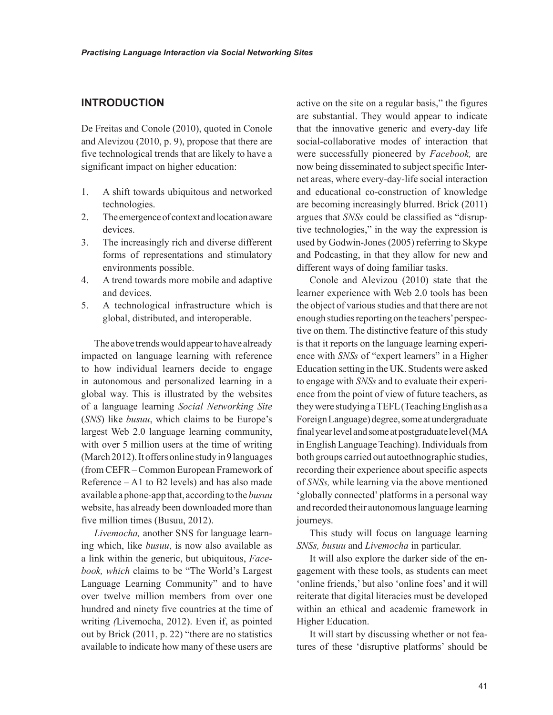#### **INTRODUCTION**

De Freitas and Conole (2010), quoted in Conole and Alevizou (2010, p. 9), propose that there are five technological trends that are likely to have a significant impact on higher education:

- 1. A shift towards ubiquitous and networked technologies.
- 2. The emergence of context and location aware devices.
- 3. The increasingly rich and diverse different forms of representations and stimulatory environments possible.
- 4. A trend towards more mobile and adaptive and devices.
- 5. A technological infrastructure which is global, distributed, and interoperable.

The above trends would appear to have already impacted on language learning with reference to how individual learners decide to engage in autonomous and personalized learning in a global way. This is illustrated by the websites of a language learning *Social Networking Site* (*SNS*) like *busuu*, which claims to be Europe's largest Web 2.0 language learning community, with over 5 million users at the time of writing (March 2012). It offers online study in 9 languages (from CEFR – Common European Framework of Reference – A1 to B2 levels) and has also made available a phone-app that, according to the *busuu* website, has already been downloaded more than five million times (Busuu, 2012).

*Livemocha,* another SNS for language learning which, like *busuu*, is now also available as a link within the generic, but ubiquitous, *Facebook, which* claims to be "The World's Largest Language Learning Community" and to have over twelve million members from over one hundred and ninety five countries at the time of writing *(*Livemocha, 2012). Even if, as pointed out by Brick (2011, p. 22) "there are no statistics available to indicate how many of these users are

active on the site on a regular basis," the figures are substantial. They would appear to indicate that the innovative generic and every-day life social-collaborative modes of interaction that were successfully pioneered by *Facebook,* are now being disseminated to subject specific Internet areas, where every-day-life social interaction and educational co-construction of knowledge are becoming increasingly blurred. Brick (2011) argues that *SNSs* could be classified as "disruptive technologies," in the way the expression is used by Godwin-Jones (2005) referring to Skype and Podcasting, in that they allow for new and different ways of doing familiar tasks.

Conole and Alevizou (2010) state that the learner experience with Web 2.0 tools has been the object of various studies and that there are not enough studies reporting on the teachers' perspective on them. The distinctive feature of this study is that it reports on the language learning experience with *SNSs* of "expert learners" in a Higher Education setting in the UK. Students were asked to engage with *SNSs* and to evaluate their experience from the point of view of future teachers, as they were studying a TEFL (Teaching English as a Foreign Language) degree, some at undergraduate final year level and some at postgraduate level (MA in English Language Teaching). Individuals from both groups carried out autoethnographic studies, recording their experience about specific aspects of *SNSs,* while learning via the above mentioned 'globally connected' platforms in a personal way and recorded their autonomous language learning journeys.

This study will focus on language learning *SNSs, busuu* and *Livemocha* in particular.

It will also explore the darker side of the engagement with these tools, as students can meet 'online friends,' but also 'online foes' and it will reiterate that digital literacies must be developed within an ethical and academic framework in Higher Education.

It will start by discussing whether or not features of these 'disruptive platforms' should be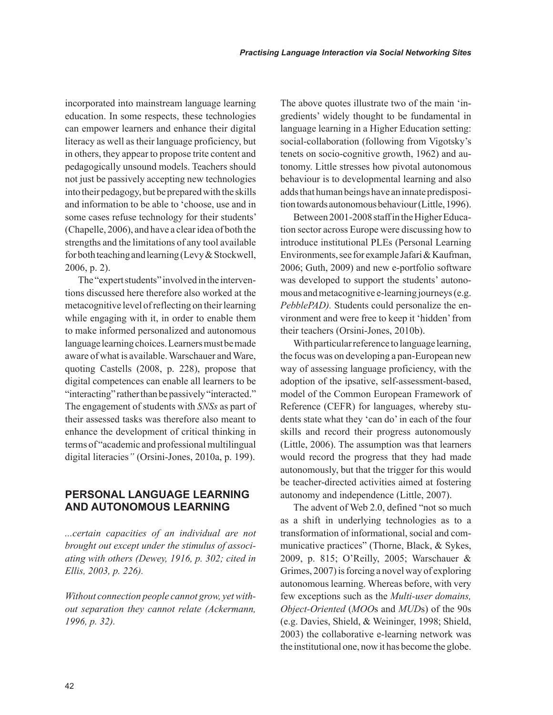incorporated into mainstream language learning education. In some respects, these technologies can empower learners and enhance their digital literacy as well as their language proficiency, but in others, they appear to propose trite content and pedagogically unsound models. Teachers should not just be passively accepting new technologies into their pedagogy, but be prepared with the skills and information to be able to 'choose, use and in some cases refuse technology for their students' (Chapelle, 2006), and have a clear idea of both the strengths and the limitations of any tool available for both teaching and learning (Levy & Stockwell, 2006, p. 2).

The "expert students" involved in the interventions discussed here therefore also worked at the metacognitive level of reflecting on their learning while engaging with it, in order to enable them to make informed personalized and autonomous language learning choices. Learners must be made aware of what is available. Warschauer and Ware, quoting Castells (2008, p. 228), propose that digital competences can enable all learners to be "interacting" rather than be passively "interacted." The engagement of students with *SNSs* as part of their assessed tasks was therefore also meant to enhance the development of critical thinking in terms of "academic and professional multilingual digital literacies*"* (Orsini-Jones, 2010a, p. 199).

### **PERSONAL LANGUAGE LEARNING AND AUTONOMOUS LEARNING**

*...certain capacities of an individual are not brought out except under the stimulus of associating with others (Dewey, 1916, p. 302; cited in Ellis, 2003, p. 226).*

*Without connection people cannot grow, yet without separation they cannot relate (Ackermann, 1996, p. 32).*

The above quotes illustrate two of the main 'ingredients' widely thought to be fundamental in language learning in a Higher Education setting: social-collaboration (following from Vigotsky's tenets on socio-cognitive growth, 1962) and autonomy. Little stresses how pivotal autonomous behaviour is to developmental learning and also adds that human beings have an innate predisposition towards autonomous behaviour (Little, 1996).

Between 2001-2008 staff in the Higher Education sector across Europe were discussing how to introduce institutional PLEs (Personal Learning Environments, see for example Jafari & Kaufman, 2006; Guth, 2009) and new e-portfolio software was developed to support the students' autonomous and metacognitive e-learning journeys (e.g. *PebblePAD).* Students could personalize the environment and were free to keep it 'hidden' from their teachers (Orsini-Jones, 2010b).

With particular reference to language learning, the focus was on developing a pan-European new way of assessing language proficiency, with the adoption of the ipsative, self-assessment-based, model of the Common European Framework of Reference (CEFR) for languages, whereby students state what they 'can do' in each of the four skills and record their progress autonomously (Little, 2006). The assumption was that learners would record the progress that they had made autonomously, but that the trigger for this would be teacher-directed activities aimed at fostering autonomy and independence (Little, 2007).

The advent of Web 2.0, defined "not so much as a shift in underlying technologies as to a transformation of informational, social and communicative practices" (Thorne, Black, & Sykes, 2009, p. 815; O'Reilly, 2005; Warschauer & Grimes, 2007) is forcing a novel way of exploring autonomous learning. Whereas before, with very few exceptions such as the *Multi-user domains, Object-Oriented* (*MOO*s and *MUD*s) of the 90s (e.g. Davies, Shield, & Weininger, 1998; Shield, 2003) the collaborative e-learning network was the institutional one, now it has become the globe.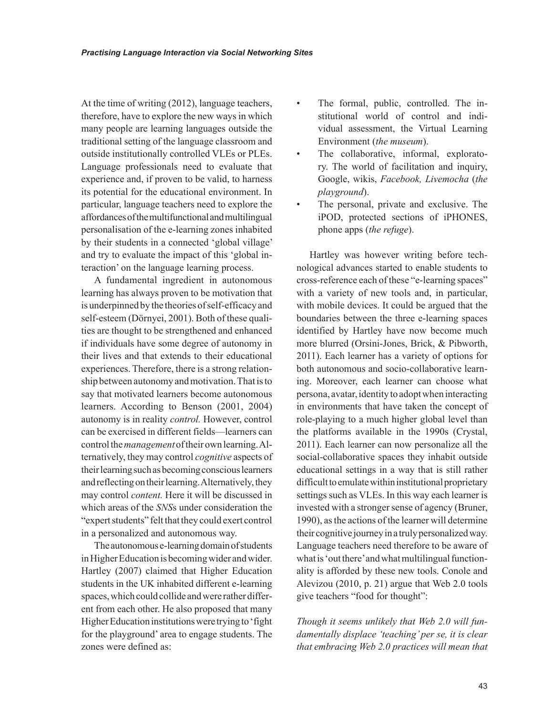At the time of writing (2012), language teachers, therefore, have to explore the new ways in which many people are learning languages outside the traditional setting of the language classroom and outside institutionally controlled VLEs or PLEs. Language professionals need to evaluate that experience and, if proven to be valid, to harness its potential for the educational environment. In particular, language teachers need to explore the affordances of the multifunctional and multilingual personalisation of the e-learning zones inhabited by their students in a connected 'global village' and try to evaluate the impact of this 'global interaction' on the language learning process.

A fundamental ingredient in autonomous learning has always proven to be motivation that is underpinned by the theories of self-efficacy and self-esteem (Dörnyei, 2001). Both of these qualities are thought to be strengthened and enhanced if individuals have some degree of autonomy in their lives and that extends to their educational experiences. Therefore, there is a strong relationship between autonomy and motivation. That is to say that motivated learners become autonomous learners. According to Benson (2001, 2004) autonomy is in reality *control.* However, control can be exercised in different fields—learners can control the *management* of their own learning. Alternatively, they may control *cognitive* aspects of their learning such as becoming conscious learners and reflecting on their learning. Alternatively, they may control *content.* Here it will be discussed in which areas of the *SNS*s under consideration the "expert students" felt that they could exert control in a personalized and autonomous way.

The autonomous e-learning domain of students in Higher Education is becoming wider and wider. Hartley (2007) claimed that Higher Education students in the UK inhabited different e-learning spaces, which could collide and were rather different from each other. He also proposed that many Higher Education institutions were trying to 'fight for the playground' area to engage students. The zones were defined as:

- The formal, public, controlled. The institutional world of control and individual assessment, the Virtual Learning Environment (*the museum*).
- The collaborative, informal, exploratory. The world of facilitation and inquiry, Google, wikis, *Facebook, Livemocha* (*the playground*).
- The personal, private and exclusive. The iPOD, protected sections of iPHONES, phone apps (*the refuge*).

Hartley was however writing before technological advances started to enable students to cross-reference each of these "e-learning spaces" with a variety of new tools and, in particular, with mobile devices. It could be argued that the boundaries between the three e-learning spaces identified by Hartley have now become much more blurred (Orsini-Jones, Brick, & Pibworth, 2011). Each learner has a variety of options for both autonomous and socio-collaborative learning. Moreover, each learner can choose what persona, avatar, identity to adopt when interacting in environments that have taken the concept of role-playing to a much higher global level than the platforms available in the 1990s (Crystal, 2011). Each learner can now personalize all the social-collaborative spaces they inhabit outside educational settings in a way that is still rather difficult to emulate within institutional proprietary settings such as VLEs. In this way each learner is invested with a stronger sense of agency (Bruner, 1990), as the actions of the learner will determine their cognitive journey in a truly personalized way. Language teachers need therefore to be aware of what is 'out there' and what multilingual functionality is afforded by these new tools. Conole and Alevizou (2010, p. 21) argue that Web 2.0 tools give teachers "food for thought":

*Though it seems unlikely that Web 2.0 will fundamentally displace 'teaching' per se, it is clear that embracing Web 2.0 practices will mean that*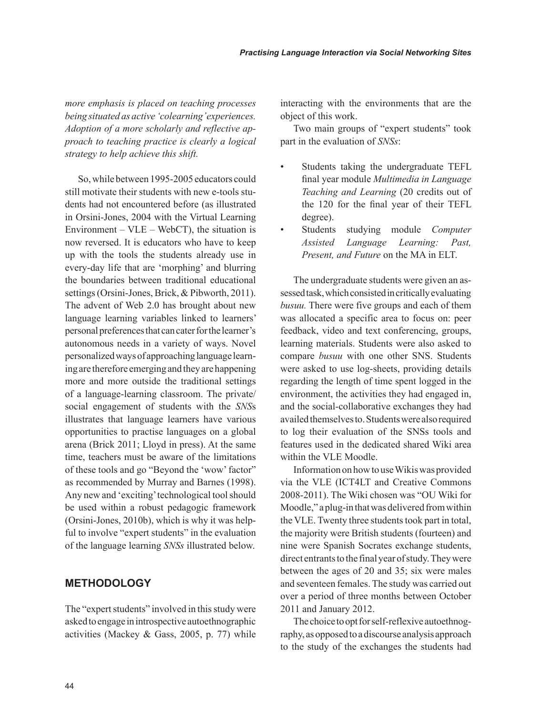*more emphasis is placed on teaching processes being situated as active 'colearning' experiences. Adoption of a more scholarly and reflective approach to teaching practice is clearly a logical strategy to help achieve this shift.* 

So, while between 1995-2005 educators could still motivate their students with new e-tools students had not encountered before (as illustrated in Orsini-Jones, 2004 with the Virtual Learning Environment –  $VLE$  – WebCT), the situation is now reversed. It is educators who have to keep up with the tools the students already use in every-day life that are 'morphing' and blurring the boundaries between traditional educational settings (Orsini-Jones, Brick, & Pibworth, 2011). The advent of Web 2.0 has brought about new language learning variables linked to learners' personal preferences that can cater for the learner's autonomous needs in a variety of ways. Novel personalized ways of approaching language learning are therefore emerging and they are happening more and more outside the traditional settings of a language-learning classroom. The private/ social engagement of students with the *SNS*s illustrates that language learners have various opportunities to practise languages on a global arena (Brick 2011; Lloyd in press). At the same time, teachers must be aware of the limitations of these tools and go "Beyond the 'wow' factor" as recommended by Murray and Barnes (1998). Any new and 'exciting' technological tool should be used within a robust pedagogic framework (Orsini-Jones, 2010b), which is why it was helpful to involve "expert students" in the evaluation of the language learning *SNSs* illustrated below.

#### **METHODOLOGY**

The "expert students" involved in this study were asked to engage in introspective autoethnographic activities (Mackey & Gass, 2005, p. 77) while interacting with the environments that are the object of this work.

Two main groups of "expert students" took part in the evaluation of *SNSs*:

- Students taking the undergraduate TEFL final year module *Multimedia in Language Teaching and Learning* (20 credits out of the 120 for the final year of their TEFL degree).
- Students studying module *Computer Assisted Language Learning: Past, Present, and Future* on the MA in ELT.

The undergraduate students were given an assessed task, which consisted in critically evaluating *busuu.* There were five groups and each of them was allocated a specific area to focus on: peer feedback, video and text conferencing, groups, learning materials. Students were also asked to compare *busuu* with one other SNS. Students were asked to use log-sheets, providing details regarding the length of time spent logged in the environment, the activities they had engaged in, and the social-collaborative exchanges they had availed themselves to. Students were also required to log their evaluation of the SNSs tools and features used in the dedicated shared Wiki area within the VLE Moodle.

Information on how to use Wikis was provided via the VLE (ICT4LT and Creative Commons 2008-2011). The Wiki chosen was "OU Wiki for Moodle," a plug-in that was delivered from within the VLE. Twenty three students took part in total, the majority were British students (fourteen) and nine were Spanish Socrates exchange students, direct entrants to the final year of study. They were between the ages of 20 and 35; six were males and seventeen females. The study was carried out over a period of three months between October 2011 and January 2012.

The choice to opt for self-reflexive autoethnography, as opposed to a discourse analysis approach to the study of the exchanges the students had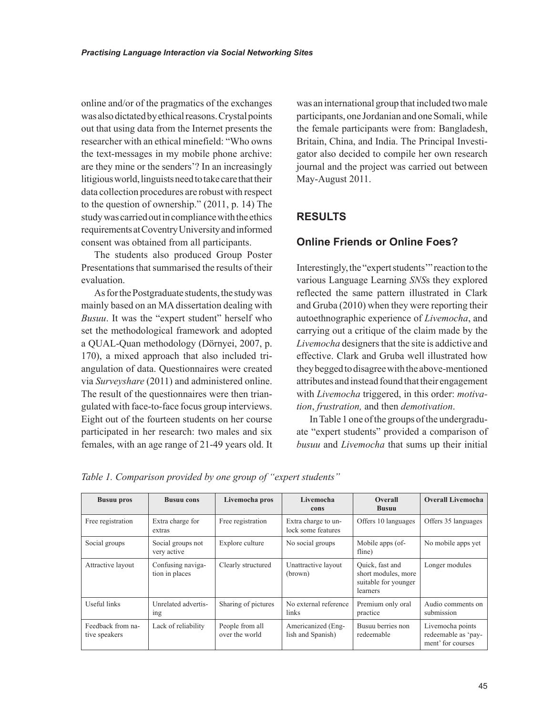online and/or of the pragmatics of the exchanges was also dictated by ethical reasons. Crystal points out that using data from the Internet presents the researcher with an ethical minefield: "Who owns the text-messages in my mobile phone archive: are they mine or the senders'? In an increasingly litigious world, linguists need to take care that their data collection procedures are robust with respect to the question of ownership." (2011, p. 14) The study was carried out in compliance with the ethics requirements at Coventry University and informed consent was obtained from all participants.

The students also produced Group Poster Presentations that summarised the results of their evaluation.

As for the Postgraduate students, the study was mainly based on an MA dissertation dealing with *Busuu*. It was the "expert student" herself who set the methodological framework and adopted a QUAL-Quan methodology (Dörnyei, 2007, p. 170), a mixed approach that also included triangulation of data. Questionnaires were created via *Surveyshare* (2011) and administered online. The result of the questionnaires were then triangulated with face-to-face focus group interviews. Eight out of the fourteen students on her course participated in her research: two males and six females, with an age range of 21-49 years old. It

was an international group that included two male participants, one Jordanian and one Somali, while the female participants were from: Bangladesh, Britain, China, and India. The Principal Investigator also decided to compile her own research journal and the project was carried out between May-August 2011.

# **RESULTS**

# **Online Friends or Online Foes?**

Interestingly, the "expert students'" reaction to the various Language Learning *SNS*s they explored reflected the same pattern illustrated in Clark and Gruba (2010) when they were reporting their autoethnographic experience of *Livemocha*, and carrying out a critique of the claim made by the *Livemocha* designers that the site is addictive and effective. Clark and Gruba well illustrated how they begged to disagree with the above-mentioned attributes and instead found that their engagement with *Livemocha* triggered, in this order: *motivation*, *frustration,* and then *demotivation*.

In Table 1 one of the groups of the undergraduate "expert students" provided a comparison of *busuu* and *Livemocha* that sums up their initial

*Table 1. Comparison provided by one group of "expert students"* 

| <b>Busuu pros</b>                  | <b>Busuu cons</b>                      | Livemocha pros                    | Livemocha<br>cons                         | <b>Overall</b><br><b>Busuu</b>                                             | <b>Overall Livemocha</b>                                     |
|------------------------------------|----------------------------------------|-----------------------------------|-------------------------------------------|----------------------------------------------------------------------------|--------------------------------------------------------------|
| Free registration                  | Extra charge for<br>extras             | Free registration                 | Extra charge to un-<br>lock some features | Offers 10 languages                                                        | Offers 35 languages                                          |
| Social groups                      | Social groups not<br>very active       | Explore culture                   | No social groups                          | Mobile apps (of-<br>fline)                                                 | No mobile apps yet                                           |
| Attractive layout                  | Confusing naviga-<br>tion in places    | Clearly structured                | Unattractive layout<br>(brown)            | Quick, fast and<br>short modules, more<br>suitable for younger<br>learners | Longer modules                                               |
| Useful links                       | Unrelated advertis-<br><sub>1</sub> ng | Sharing of pictures               | No external reference<br>links            | Premium only oral<br>practice                                              | Audio comments on<br>submission                              |
| Feedback from na-<br>tive speakers | Lack of reliability                    | People from all<br>over the world | Americanized (Eng-<br>lish and Spanish)   | Busuu berries non<br>redeemable                                            | Livemocha points<br>redeemable as 'pay-<br>ment' for courses |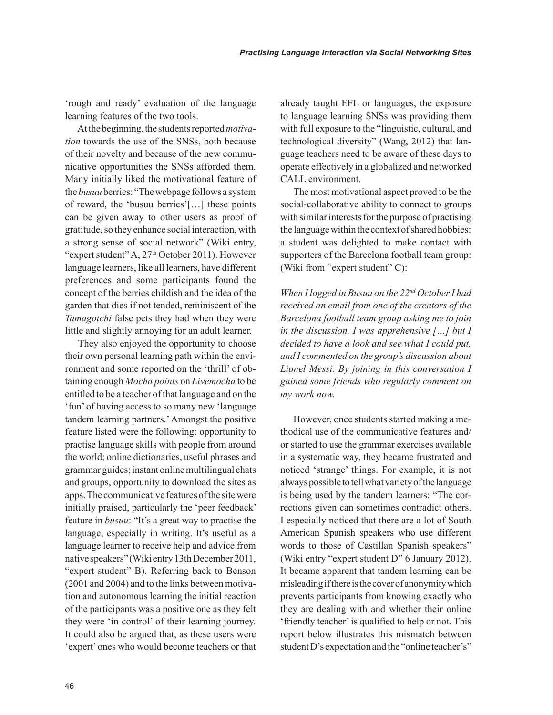'rough and ready' evaluation of the language learning features of the two tools.

At the beginning, the students reported *motivation* towards the use of the SNSs, both because of their novelty and because of the new communicative opportunities the SNSs afforded them. Many initially liked the motivational feature of the *busuu* berries: "The webpage follows a system of reward, the 'busuu berries'[…] these points can be given away to other users as proof of gratitude, so they enhance social interaction, with a strong sense of social network" (Wiki entry, "expert student"  $A$ ,  $27<sup>th</sup>$  October 2011). However language learners, like all learners, have different preferences and some participants found the concept of the berries childish and the idea of the garden that dies if not tended, reminiscent of the *Tamagotchi* false pets they had when they were little and slightly annoying for an adult learner.

They also enjoyed the opportunity to choose their own personal learning path within the environment and some reported on the 'thrill' of obtaining enough *Mocha points* on *Livemocha* to be entitled to be a teacher of that language and on the 'fun' of having access to so many new 'language tandem learning partners.' Amongst the positive feature listed were the following: opportunity to practise language skills with people from around the world; online dictionaries, useful phrases and grammar guides; instant online multilingual chats and groups, opportunity to download the sites as apps. The communicative features of the site were initially praised, particularly the 'peer feedback' feature in *busuu*: "It's a great way to practise the language, especially in writing. It's useful as a language learner to receive help and advice from native speakers" (Wiki entry 13th December 2011, "expert student" B). Referring back to Benson (2001 and 2004) and to the links between motivation and autonomous learning the initial reaction of the participants was a positive one as they felt they were 'in control' of their learning journey. It could also be argued that, as these users were 'expert' ones who would become teachers or that already taught EFL or languages, the exposure to language learning SNSs was providing them with full exposure to the "linguistic, cultural, and technological diversity" (Wang, 2012) that language teachers need to be aware of these days to operate effectively in a globalized and networked CALL environment.

The most motivational aspect proved to be the social-collaborative ability to connect to groups with similar interests for the purpose of practising the language within the context of shared hobbies: a student was delighted to make contact with supporters of the Barcelona football team group: (Wiki from "expert student" C):

*When I logged in Busuu on the 22nd October I had received an email from one of the creators of the Barcelona football team group asking me to join in the discussion. I was apprehensive […] but I decided to have a look and see what I could put, and I commented on the group's discussion about Lionel Messi. By joining in this conversation I gained some friends who regularly comment on my work now.* 

However, once students started making a methodical use of the communicative features and/ or started to use the grammar exercises available in a systematic way, they became frustrated and noticed 'strange' things. For example, it is not always possible to tell what variety of the language is being used by the tandem learners: "The corrections given can sometimes contradict others. I especially noticed that there are a lot of South American Spanish speakers who use different words to those of Castillan Spanish speakers" (Wiki entry "expert student D" 6 January 2012). It became apparent that tandem learning can be misleading if there is the cover of anonymity which prevents participants from knowing exactly who they are dealing with and whether their online 'friendly teacher' is qualified to help or not. This report below illustrates this mismatch between student D's expectation and the "online teacher's"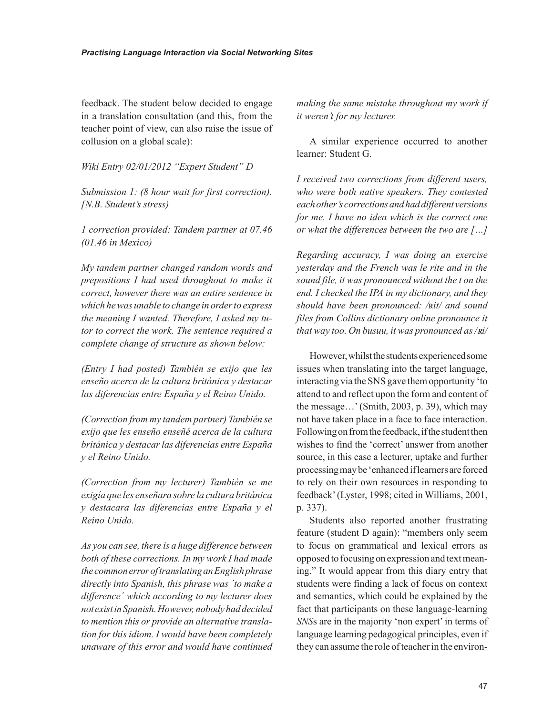feedback. The student below decided to engage in a translation consultation (and this, from the teacher point of view, can also raise the issue of collusion on a global scale):

*Wiki Entry 02/01/2012 "Expert Student" D*

*Submission 1: (8 hour wait for first correction). [N.B. Student's stress)*

*1 correction provided: Tandem partner at 07.46 (01.46 in Mexico)* 

*My tandem partner changed random words and prepositions I had used throughout to make it correct, however there was an entire sentence in which he was unable to change in order to express the meaning I wanted. Therefore, I asked my tutor to correct the work. The sentence required a complete change of structure as shown below:* 

*(Entry I had posted) También se exijo que les enseño acerca de la cultura británica y destacar las diferencias entre España y el Reino Unido.*

*(Correction from my tandem partner) También se exijo que les enseño enseñé acerca de la cultura británica y destacar las diferencias entre España y el Reino Unido.*

*(Correction from my lecturer) También se me exigía que les enseñara sobre la cultura británica y destacara las diferencias entre España y el Reino Unido.* 

*As you can see, there is a huge difference between both of these corrections. In my work I had made the common error of translating an English phrase directly into Spanish, this phrase was ´to make a difference´ which according to my lecturer does not exist in Spanish. However, nobody had decided to mention this or provide an alternative translation for this idiom. I would have been completely unaware of this error and would have continued*  *making the same mistake throughout my work if it weren't for my lecturer.* 

A similar experience occurred to another learner: Student G.

*I received two corrections from different users, who were both native speakers. They contested each other's corrections and had different versions for me. I have no idea which is the correct one or what the differences between the two are […]* 

*Regarding accuracy, I was doing an exercise yesterday and the French was le rite and in the sound file, it was pronounced without the t on the end. I checked the IPA in my dictionary, and they should have been pronounced: /*ʀ*it/ and sound files from Collins dictionary online pronounce it that way too. On busuu, it was pronounced as /ʀi/*

However, whilst the students experienced some issues when translating into the target language, interacting via the SNS gave them opportunity 'to attend to and reflect upon the form and content of the message…' (Smith, 2003, p. 39), which may not have taken place in a face to face interaction. Following on from the feedback, if the student then wishes to find the 'correct' answer from another source, in this case a lecturer, uptake and further processing may be 'enhanced if learners are forced to rely on their own resources in responding to feedback' (Lyster, 1998; cited in Williams, 2001, p. 337).

Students also reported another frustrating feature (student D again): "members only seem to focus on grammatical and lexical errors as opposed to focusing on expression and text meaning." It would appear from this diary entry that students were finding a lack of focus on context and semantics, which could be explained by the fact that participants on these language-learning *SNS*s are in the majority 'non expert' in terms of language learning pedagogical principles, even if they can assume the role of teacher in the environ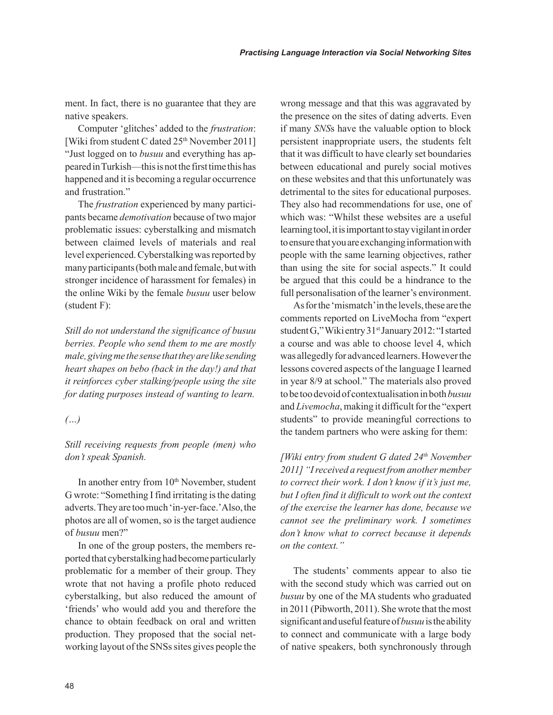ment. In fact, there is no guarantee that they are native speakers.

Computer 'glitches' added to the *frustration*: [Wiki from student C dated 25<sup>th</sup> November 2011] "Just logged on to *busuu* and everything has appeared in Turkish—this is not the first time this has happened and it is becoming a regular occurrence and frustration."

The *frustration* experienced by many participants became *demotivation* because of two major problematic issues: cyberstalking and mismatch between claimed levels of materials and real level experienced. Cyberstalking was reported by many participants (both male and female, but with stronger incidence of harassment for females) in the online Wiki by the female *busuu* user below (student F):

*Still do not understand the significance of busuu berries. People who send them to me are mostly male, giving me the sense that they are like sending heart shapes on bebo (back in the day!) and that it reinforces cyber stalking/people using the site for dating purposes instead of wanting to learn.*

#### *(…)*

*Still receiving requests from people (men) who don't speak Spanish.*

In another entry from  $10<sup>th</sup>$  November, student G wrote: "Something I find irritating is the dating adverts. They are too much 'in-yer-face.' Also, the photos are all of women, so is the target audience of *busuu* men?"

In one of the group posters, the members reported that cyberstalking had become particularly problematic for a member of their group. They wrote that not having a profile photo reduced cyberstalking, but also reduced the amount of 'friends' who would add you and therefore the chance to obtain feedback on oral and written production. They proposed that the social networking layout of the SNSs sites gives people the wrong message and that this was aggravated by the presence on the sites of dating adverts. Even if many *SNS*s have the valuable option to block persistent inappropriate users, the students felt that it was difficult to have clearly set boundaries between educational and purely social motives on these websites and that this unfortunately was detrimental to the sites for educational purposes. They also had recommendations for use, one of which was: "Whilst these websites are a useful learning tool, it is important to stay vigilant in order to ensure that you are exchanging information with people with the same learning objectives, rather than using the site for social aspects." It could be argued that this could be a hindrance to the full personalisation of the learner's environment.

As for the 'mismatch' in the levels, these are the comments reported on LiveMocha from "expert student G," Wiki entry 31<sup>st</sup> January 2012: "I started a course and was able to choose level 4, which was allegedly for advanced learners. However the lessons covered aspects of the language I learned in year 8/9 at school." The materials also proved to be too devoid of contextualisation in both *busuu* and *Livemocha*, making it difficult for the "expert students" to provide meaningful corrections to the tandem partners who were asking for them:

*[Wiki entry from student G dated 24th November 2011] "I received a request from another member to correct their work. I don't know if it's just me, but I often find it difficult to work out the context of the exercise the learner has done, because we cannot see the preliminary work. I sometimes don't know what to correct because it depends on the context."* 

The students' comments appear to also tie with the second study which was carried out on *busuu* by one of the MA students who graduated in 2011 (Pibworth, 2011). She wrote that the most significant and useful feature of *busuu* is the ability to connect and communicate with a large body of native speakers, both synchronously through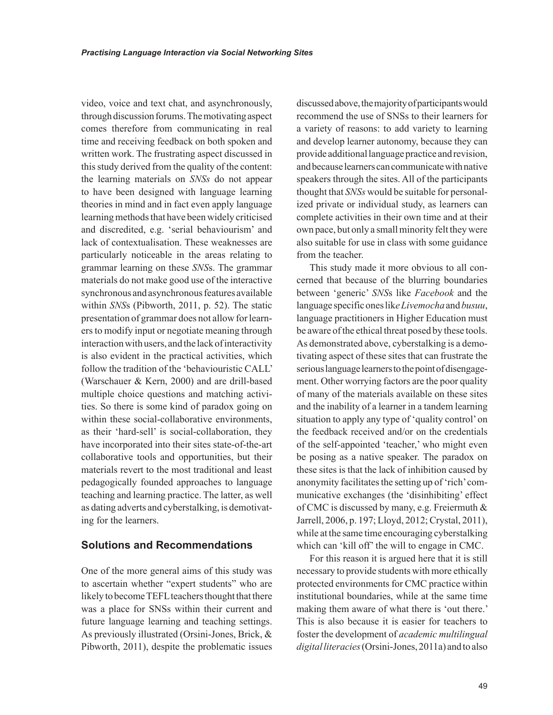video, voice and text chat, and asynchronously, through discussion forums. The motivating aspect comes therefore from communicating in real time and receiving feedback on both spoken and written work. The frustrating aspect discussed in this study derived from the quality of the content: the learning materials on *SNSs* do not appear to have been designed with language learning theories in mind and in fact even apply language learning methods that have been widely criticised and discredited, e.g. 'serial behaviourism' and lack of contextualisation. These weaknesses are particularly noticeable in the areas relating to grammar learning on these *SNS*s. The grammar materials do not make good use of the interactive synchronous and asynchronous features available within *SNS*s (Pibworth, 2011, p. 52). The static presentation of grammar does not allow for learners to modify input or negotiate meaning through interaction with users, and the lack of interactivity is also evident in the practical activities, which follow the tradition of the 'behaviouristic CALL' (Warschauer & Kern, 2000) and are drill-based multiple choice questions and matching activities. So there is some kind of paradox going on within these social-collaborative environments, as their 'hard-sell' is social-collaboration, they have incorporated into their sites state-of-the-art collaborative tools and opportunities, but their materials revert to the most traditional and least pedagogically founded approaches to language teaching and learning practice. The latter, as well as dating adverts and cyberstalking, is demotivating for the learners.

#### **Solutions and Recommendations**

One of the more general aims of this study was to ascertain whether "expert students" who are likely to become TEFL teachers thought that there was a place for SNSs within their current and future language learning and teaching settings. As previously illustrated (Orsini-Jones, Brick, & Pibworth, 2011), despite the problematic issues discussed above, the majority of participants would recommend the use of SNSs to their learners for a variety of reasons: to add variety to learning and develop learner autonomy, because they can provide additional language practice and revision, and because learners can communicate with native speakers through the sites. All of the participants thought that *SNSs* would be suitable for personalized private or individual study, as learners can complete activities in their own time and at their own pace, but only a small minority felt they were also suitable for use in class with some guidance from the teacher.

This study made it more obvious to all concerned that because of the blurring boundaries between 'generic' *SNS*s like *Facebook* and the language specific ones lik*e Livemocha* and *busuu*, language practitioners in Higher Education must be aware of the ethical threat posed by these tools. As demonstrated above, cyberstalking is a demotivating aspect of these sites that can frustrate the serious language learners to the point of disengagement. Other worrying factors are the poor quality of many of the materials available on these sites and the inability of a learner in a tandem learning situation to apply any type of 'quality control' on the feedback received and/or on the credentials of the self-appointed 'teacher,' who might even be posing as a native speaker. The paradox on these sites is that the lack of inhibition caused by anonymity facilitates the setting up of 'rich' communicative exchanges (the 'disinhibiting' effect of CMC is discussed by many, e.g. Freiermuth & Jarrell, 2006, p. 197; Lloyd, 2012; Crystal, 2011), while at the same time encouraging cyberstalking which can 'kill off' the will to engage in CMC.

For this reason it is argued here that it is still necessary to provide students with more ethically protected environments for CMC practice within institutional boundaries, while at the same time making them aware of what there is 'out there.' This is also because it is easier for teachers to foster the development of *academic multilingual digital literacies* (Orsini-Jones, 2011a) and to also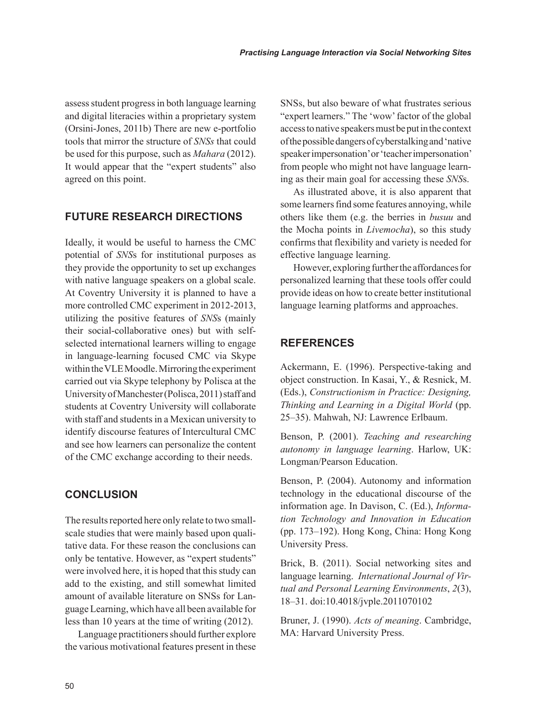assess student progress in both language learning and digital literacies within a proprietary system (Orsini-Jones, 2011b) There are new e-portfolio tools that mirror the structure of *SNSs* that could be used for this purpose, such as *Mahara* (2012). It would appear that the "expert students" also agreed on this point.

### **FUTURE RESEARCH DIRECTIONS**

Ideally, it would be useful to harness the CMC potential of *SNS*s for institutional purposes as they provide the opportunity to set up exchanges with native language speakers on a global scale. At Coventry University it is planned to have a more controlled CMC experiment in 2012-2013, utilizing the positive features of *SNS*s (mainly their social-collaborative ones) but with selfselected international learners willing to engage in language-learning focused CMC via Skype within the VLE Moodle. Mirroring the experiment carried out via Skype telephony by Polisca at the University of Manchester (Polisca, 2011) staff and students at Coventry University will collaborate with staff and students in a Mexican university to identify discourse features of Intercultural CMC and see how learners can personalize the content of the CMC exchange according to their needs.

### **CONCLUSION**

The results reported here only relate to two smallscale studies that were mainly based upon qualitative data. For these reason the conclusions can only be tentative. However, as "expert students" were involved here, it is hoped that this study can add to the existing, and still somewhat limited amount of available literature on SNSs for Language Learning, which have all been available for less than 10 years at the time of writing (2012).

Language practitioners should further explore the various motivational features present in these SNSs, but also beware of what frustrates serious "expert learners." The 'wow' factor of the global access to native speakers must be put in the context of the possible dangers of cyberstalking and 'native speaker impersonation' or 'teacher impersonation' from people who might not have language learning as their main goal for accessing these *SNS*s.

As illustrated above, it is also apparent that some learners find some features annoying, while others like them (e.g. the berries in *busuu* and the Mocha points in *Livemocha*), so this study confirms that flexibility and variety is needed for effective language learning.

However, exploring further the affordances for personalized learning that these tools offer could provide ideas on how to create better institutional language learning platforms and approaches.

### **REFERENCES**

Ackermann, E. (1996). Perspective-taking and object construction. In Kasai, Y., & Resnick, M. (Eds.), *Constructionism in Practice: Designing, Thinking and Learning in a Digital World* (pp. 25–35). Mahwah, NJ: Lawrence Erlbaum.

Benson, P. (2001). *Teaching and researching autonomy in language learning*. Harlow, UK: Longman/Pearson Education.

Benson, P. (2004). Autonomy and information technology in the educational discourse of the information age. In Davison, C. (Ed.), *Information Technology and Innovation in Education* (pp. 173–192). Hong Kong, China: Hong Kong University Press.

Brick, B. (2011). Social networking sites and language learning. *International Journal of Virtual and Personal Learning Environments*, *2*(3), 18–31. doi:10.4018/jvple.2011070102

Bruner, J. (1990). *Acts of meaning*. Cambridge, MA: Harvard University Press.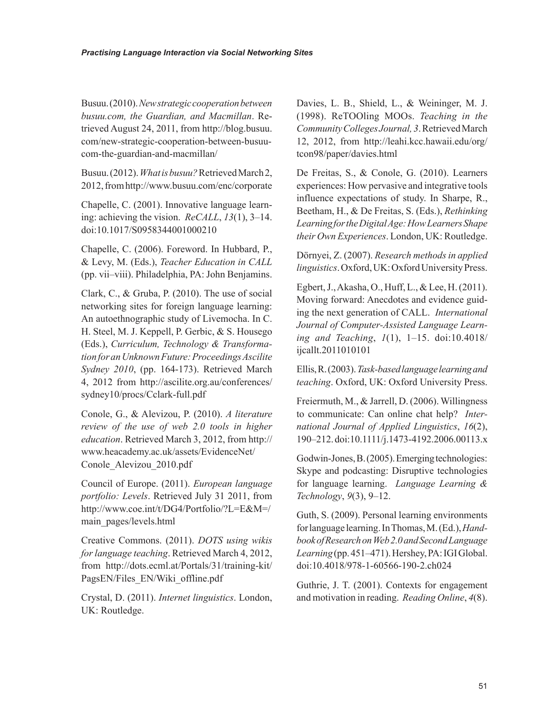Busuu. (2010). *New strategic cooperation between busuu.com, the Guardian, and Macmillan*. Retrieved August 24, 2011, from http://blog.busuu. com/new-strategic-cooperation-between-busuucom-the-guardian-and-macmillan/

Busuu. (2012). *What is busuu?* Retrieved March 2, 2012, from http://www.busuu.com/enc/corporate

Chapelle, C. (2001). Innovative language learning: achieving the vision. *ReCALL*, *13*(1), 3–14. doi:10.1017/S0958344001000210

Chapelle, C. (2006). Foreword. In Hubbard, P., & Levy, M. (Eds.), *Teacher Education in CALL* (pp. vii–viii). Philadelphia, PA: John Benjamins.

Clark, C., & Gruba, P. (2010). The use of social networking sites for foreign language learning: An autoethnographic study of Livemocha. In C. H. Steel, M. J. Keppell, P. Gerbic, & S. Housego (Eds.), *Curriculum, Technology & Transformation for an Unknown Future: Proceedings Ascilite Sydney 2010*, (pp. 164-173). Retrieved March 4, 2012 from http://ascilite.org.au/conferences/ sydney10/procs/Cclark-full.pdf

Conole, G., & Alevizou, P. (2010). *A literature review of the use of web 2.0 tools in higher education*. Retrieved March 3, 2012, from http:// www.heacademy.ac.uk/assets/EvidenceNet/ Conole\_Alevizou\_2010.pdf

Council of Europe. (2011). *European language portfolio: Levels*. Retrieved July 31 2011, from http://www.coe.int/t/DG4/Portfolio/?L=E&M=/ main\_pages/levels.html

Creative Commons. (2011). *DOTS using wikis for language teaching*. Retrieved March 4, 2012, from http://dots.ecml.at/Portals/31/training-kit/ PagsEN/Files\_EN/Wiki\_offline.pdf

Crystal, D. (2011). *Internet linguistics*. London, UK: Routledge.

Davies, L. B., Shield, L., & Weininger, M. J. (1998). ReTOOling MOOs. *Teaching in the Community Colleges Journal, 3*. Retrieved March 12, 2012, from http://leahi.kcc.hawaii.edu/org/ tcon98/paper/davies.html

De Freitas, S., & Conole, G. (2010). Learners experiences: How pervasive and integrative tools influence expectations of study. In Sharpe, R., Beetham, H., & De Freitas, S. (Eds.), *Rethinking Learning for the Digital Age: How Learners Shape their Own Experiences*. London, UK: Routledge.

Dörnyei, Z. (2007). *Research methods in applied linguistics*. Oxford, UK: Oxford University Press.

Egbert, J., Akasha, O., Huff, L., & Lee, H. (2011). Moving forward: Anecdotes and evidence guiding the next generation of CALL. *International Journal of Computer-Assisted Language Learning and Teaching*, *1*(1), 1–15. doi:10.4018/ ijcallt.2011010101

Ellis, R. (2003). *Task-based language learning and teaching*. Oxford, UK: Oxford University Press.

Freiermuth, M., & Jarrell, D. (2006). Willingness to communicate: Can online chat help? *International Journal of Applied Linguistics*, *16*(2), 190–212. doi:10.1111/j.1473-4192.2006.00113.x

Godwin-Jones, B. (2005). Emerging technologies: Skype and podcasting: Disruptive technologies for language learning. *Language Learning & Technology*, *9*(3), 9–12.

Guth, S. (2009). Personal learning environments for language learning. In Thomas, M. (Ed.), *Handbook of Research on Web 2.0 and Second Language Learning* (pp. 451–471). Hershey, PA: IGI Global. doi:10.4018/978-1-60566-190-2.ch024

Guthrie, J. T. (2001). Contexts for engagement and motivation in reading. *Reading Online*, *4*(8).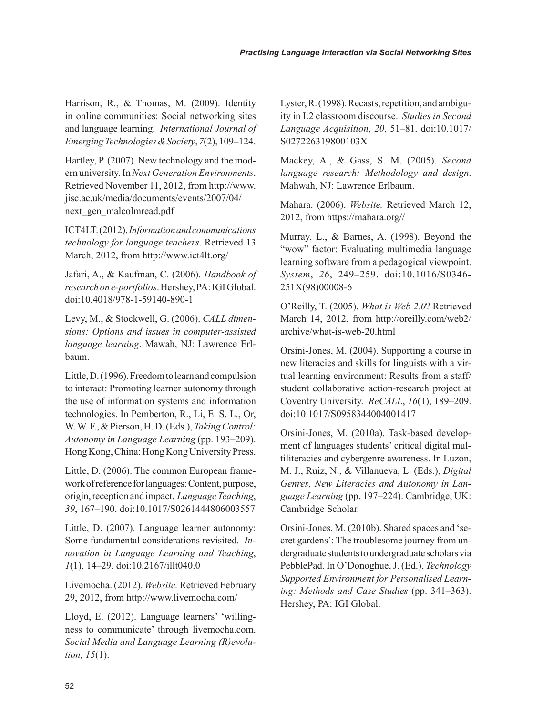Harrison, R., & Thomas, M. (2009). Identity in online communities: Social networking sites and language learning. *International Journal of Emerging Technologies & Society*, *7*(2), 109–124.

Hartley, P. (2007). New technology and the modern university. In *Next Generation Environments*. Retrieved November 11, 2012, from http://www. jisc.ac.uk/media/documents/events/2007/04/ next\_gen\_malcolmread.pdf

ICT4LT. (2012). *Information and communications technology for language teachers*. Retrieved 13 March, 2012, from http://www.ict4lt.org/

Jafari, A., & Kaufman, C. (2006). *Handbook of research on e-portfolios*. Hershey, PA: IGI Global. doi:10.4018/978-1-59140-890-1

Levy, M., & Stockwell, G. (2006). *CALL dimensions: Options and issues in computer-assisted language learning*. Mawah, NJ: Lawrence Erlbaum.

Little, D. (1996). Freedom to learn and compulsion to interact: Promoting learner autonomy through the use of information systems and information technologies. In Pemberton, R., Li, E. S. L., Or, W. W. F., & Pierson, H. D. (Eds.), *Taking Control: Autonomy in Language Learning* (pp. 193–209). Hong Kong, China: Hong Kong University Press.

Little, D. (2006). The common European framework of reference for languages: Content, purpose, origin, reception and impact. *Language Teaching*, *39*, 167–190. doi:10.1017/S0261444806003557

Little, D. (2007). Language learner autonomy: Some fundamental considerations revisited. *Innovation in Language Learning and Teaching*, *1*(1), 14–29. doi:10.2167/illt040.0

Livemocha. (2012). *Website.* Retrieved February 29, 2012, from http://www.livemocha.com/

Lloyd, E. (2012). Language learners' 'willingness to communicate' through livemocha.com. *Social Media and Language Learning (R)evolution, 15*(1).

Lyster, R. (1998). Recasts, repetition, and ambiguity in L2 classroom discourse. *Studies in Second Language Acquisition*, *20*, 51–81. doi:10.1017/ S027226319800103X

Mackey, A., & Gass, S. M. (2005). *Second language research: Methodology and design*. Mahwah, NJ: Lawrence Erlbaum.

Mahara. (2006). *Website.* Retrieved March 12, 2012, from https://mahara.org//

Murray, L., & Barnes, A. (1998). Beyond the "wow" factor: Evaluating multimedia language learning software from a pedagogical viewpoint. *System*, *26*, 249–259. doi:10.1016/S0346- 251X(98)00008-6

O'Reilly, T. (2005). *What is Web 2.0*? Retrieved March 14, 2012, from http://oreilly.com/web2/ archive/what-is-web-20.html

Orsini-Jones, M. (2004). Supporting a course in new literacies and skills for linguists with a virtual learning environment: Results from a staff/ student collaborative action-research project at Coventry University. *ReCALL*, *16*(1), 189–209. doi:10.1017/S0958344004001417

Orsini-Jones, M. (2010a). Task-based development of languages students' critical digital multiliteracies and cybergenre awareness. In Luzon, M. J., Ruiz, N., & Villanueva, L. (Eds.), *Digital Genres, New Literacies and Autonomy in Language Learning* (pp. 197–224). Cambridge, UK: Cambridge Scholar.

Orsini-Jones, M. (2010b). Shared spaces and 'secret gardens': The troublesome journey from undergraduate students to undergraduate scholars via PebblePad. In O'Donoghue, J. (Ed.), *Technology Supported Environment for Personalised Learning: Methods and Case Studies* (pp. 341–363). Hershey, PA: IGI Global.